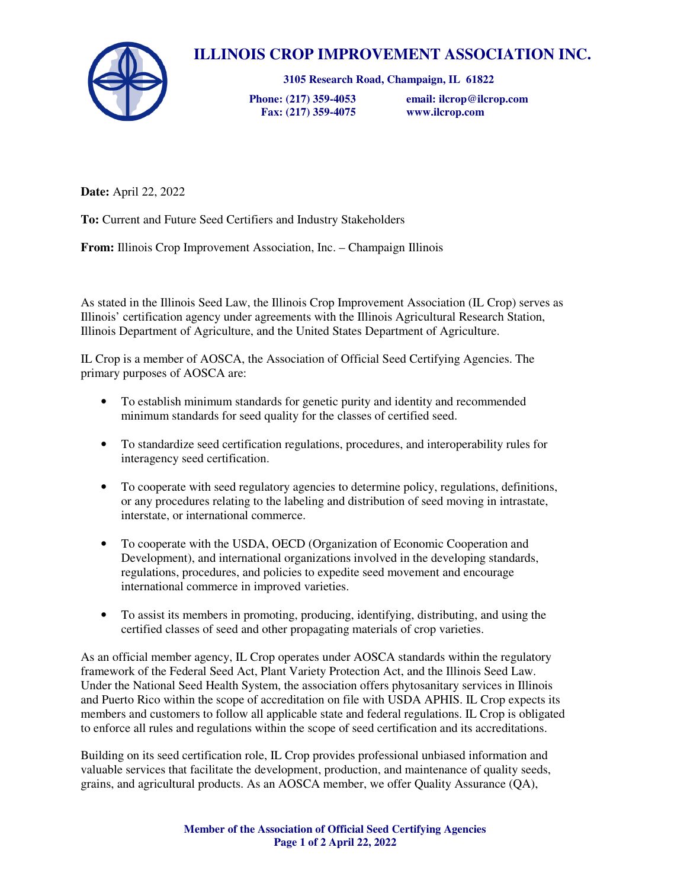

## **ILLINOIS CROP IMPROVEMENT ASSOCIATION INC.**

**3105 Research Road, Champaign, IL 61822** 

 **Fax: (217) 359-4075 www.ilcrop.com** 

 **Phone: (217) 359-4053 email: ilcrop@ilcrop.com** 

**Date:** April 22, 2022

**To:** Current and Future Seed Certifiers and Industry Stakeholders

**From:** Illinois Crop Improvement Association, Inc. – Champaign Illinois

As stated in the Illinois Seed Law, the Illinois Crop Improvement Association (IL Crop) serves as Illinois' certification agency under agreements with the Illinois Agricultural Research Station, Illinois Department of Agriculture, and the United States Department of Agriculture.

IL Crop is a member of AOSCA, the Association of Official Seed Certifying Agencies. The primary purposes of AOSCA are:

- To establish minimum standards for genetic purity and identity and recommended minimum standards for seed quality for the classes of certified seed.
- To standardize seed certification regulations, procedures, and interoperability rules for interagency seed certification.
- To cooperate with seed regulatory agencies to determine policy, regulations, definitions, or any procedures relating to the labeling and distribution of seed moving in intrastate, interstate, or international commerce.
- To cooperate with the USDA, OECD (Organization of Economic Cooperation and Development), and international organizations involved in the developing standards, regulations, procedures, and policies to expedite seed movement and encourage international commerce in improved varieties.
- To assist its members in promoting, producing, identifying, distributing, and using the certified classes of seed and other propagating materials of crop varieties.

As an official member agency, IL Crop operates under AOSCA standards within the regulatory framework of the Federal Seed Act, Plant Variety Protection Act, and the Illinois Seed Law. Under the National Seed Health System, the association offers phytosanitary services in Illinois and Puerto Rico within the scope of accreditation on file with USDA APHIS. IL Crop expects its members and customers to follow all applicable state and federal regulations. IL Crop is obligated to enforce all rules and regulations within the scope of seed certification and its accreditations.

Building on its seed certification role, IL Crop provides professional unbiased information and valuable services that facilitate the development, production, and maintenance of quality seeds, grains, and agricultural products. As an AOSCA member, we offer Quality Assurance (QA),